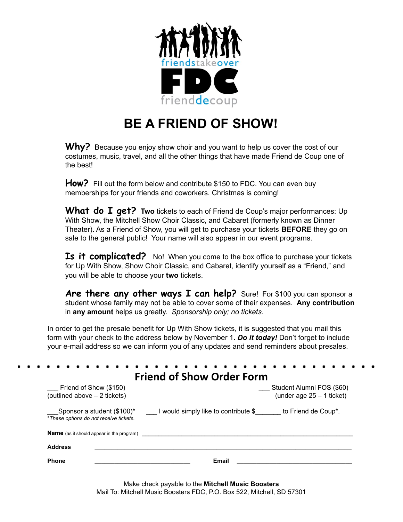

## **BE A FRIEND OF SHOW!**

Why? Because you enjoy show choir and you want to help us cover the cost of our costumes, music, travel, and all the other things that have made Friend de Coup one of the best!

**How?** Fill out the form below and contribute \$150 to FDC. You can even buy memberships for your friends and coworkers. Christmas is coming!

**What do I get? Two** tickets to each of Friend de Coup's major performances: Up With Show, the Mitchell Show Choir Classic, and Cabaret (formerly known as Dinner Theater). As a Friend of Show, you will get to purchase your tickets **BEFORE** they go on sale to the general public! Your name will also appear in our event programs.

**Is it complicated?** No! When you come to the box office to purchase your tickets for Up With Show, Show Choir Classic, and Cabaret, identify yourself as a "Friend," and you will be able to choose your **two** tickets.

**Are there any other ways I can help?** Sure! For \$100 you can sponsor a student whose family may not be able to cover some of their expenses. **Any contribution** in **any amount** helps us greatly. *Sponsorship only; no tickets.*

In order to get the presale benefit for Up With Show tickets, it is suggested that you mail this form with your check to the address below by November 1. *Do it today!* Don't forget to include your e-mail address so we can inform you of any updates and send reminders about presales.

|                                                                      | <b>Friend of Show Order Form</b>                         |  |
|----------------------------------------------------------------------|----------------------------------------------------------|--|
| $\_$ Friend of Show (\$150)<br>(outlined above $-2$ tickets)         | Student Alumni FOS (\$60)<br>(under age $25 - 1$ ticket) |  |
| Sponsor a student (\$100)*<br>*These options do not receive tickets. | I would simply like to contribute \$ to Friend de Coup*. |  |
|                                                                      |                                                          |  |
| <b>Name</b> (as it should appear in the program)                     |                                                          |  |
| <b>Address</b>                                                       |                                                          |  |

Make check payable to the **Mitchell Music Boosters** Mail To: Mitchell Music Boosters FDC, P.O. Box 522, Mitchell, SD 57301